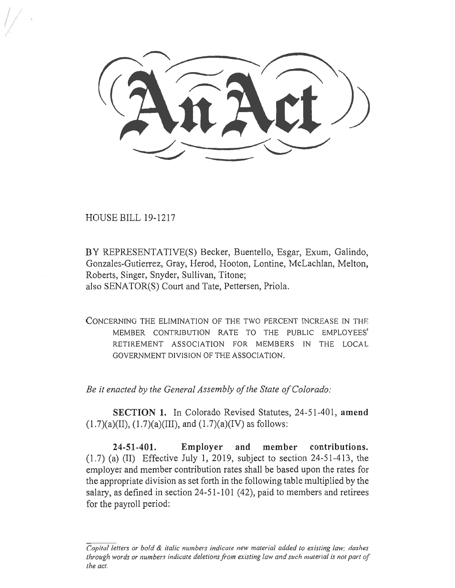HOUSE BILL 19-1217

BY REPRESENTATIVE(S) Becker, Buentello, Esgar, Exum, Galindo, Gonzales-Gutierrez, Gray, Herod, Hooton, Lontine, McLachlan, Melton, Roberts, Singer, Snyder, Sullivan, Titone; also SENATOR(S) Court and Tate, Pettersen, Priola.

CONCERNING THE ELIMINATION OF THE TWO PERCENT INCREASE IN THE MEMBER CONTRIBUTION RATE TO THE PUBLIC EMPLOYEES' RETIREMENT ASSOCIATION FOR MEMBERS IN THE LOCAL GOVERNMENT DIVISION OF THE ASSOCIATION.

*Be it enacted by the General Assembly of the State of Colorado:* 

**SECTION 1.** In Colorado Revised Statutes, 24-51-401, **amend**   $(1.7)(a)(II), (1.7)(a)(III), and (1.7)(a)(IV)$  as follows:

**24-51-401. Employer and member contributions.**  (1.7) (a) (II) Effective July 1, 2019, subject to section 24-51-413, the employer and member contribution rates shall be based upon the rates for the appropriate division as set forth in the following table multiplied by the salary, as defined in section 24-51-101 (42), paid to members and retirees for the payroll period:

*Capital letters or bold & italic numbers indicate new material added to existing law; dashes through words or numbers indicate deletions from existing law and such material is not part of the act.*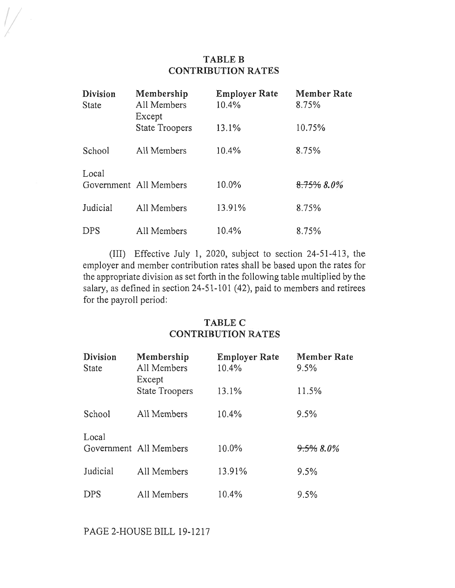## **TABLE B CONTRIBUTION RATES**

| <b>Division</b><br>State | Membership<br>All Members<br>Except | <b>Employer Rate</b><br>10.4% | <b>Member Rate</b><br>8.75% |
|--------------------------|-------------------------------------|-------------------------------|-----------------------------|
|                          | <b>State Troopers</b>               | 13.1%                         | 10.75%                      |
| School                   | All Members                         | 10.4%                         | 8.75%                       |
| Local                    | Government All Members              | 10.0%                         | 8.75% 8.0%                  |
| Judicial                 | All Members                         | 13.91%                        | 8.75%                       |
| <b>DPS</b>               | All Members                         | 10.4%                         | 8.75%                       |

(III) Effective July 1, 2020, subject to section 24-51-413, the employer and member contribution rates shall be based upon the rates for the appropriate division as set forth in the following table multiplied by the salary, as defined in section 24-51-101 (42), paid to members and retirees for the payroll period:

## **TABLE C CONTRIBUTION RATES**

| <b>Division</b><br><b>State</b> | Membership<br>All Members<br>Except | <b>Employer Rate</b><br>10.4% | <b>Member Rate</b><br>9.5% |
|---------------------------------|-------------------------------------|-------------------------------|----------------------------|
|                                 | <b>State Troopers</b>               | 13.1%                         | 11.5%                      |
| School                          | All Members                         | 10.4%                         | 9.5%                       |
| Local                           | Government All Members              | 10.0%                         | $9.5\%8.0\%$               |
| Judicial                        | All Members                         | 13.91%                        | 9.5%                       |
| DPS                             | All Members                         | 10.4%                         | 9.5%                       |

PAGE 2-HOUSE BILL 19-1217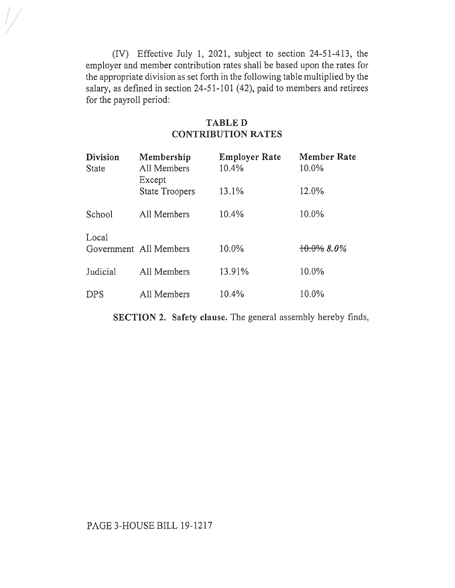(IV) Effective July 1, 2021, subject to section 24-51-413, the employer and member contribution rates shall be based upon the rates for the appropriate division as set forth in the following table multiplied by the salary, as defined in section 24-51-101 (42), paid to members and retirees for the payroll period:

## TABLE D CONTRIBUTION RATES

| <b>Division</b><br><b>State</b> | Membership<br>All Members<br>Except | <b>Employer Rate</b><br>10.4% | <b>Member Rate</b><br>10.0% |
|---------------------------------|-------------------------------------|-------------------------------|-----------------------------|
|                                 | <b>State Troopers</b>               | 13.1%                         | 12.0%                       |
| School                          | All Members                         | 10.4%                         | 10.0%                       |
| Local                           | Government All Members              | 10.0%                         | $+0.0\%$ 8.0%               |
| Judicial                        | All Members                         | 13.91%                        | 10.0%                       |
| DPS                             | All Members                         | 10.4%                         | 10.0%                       |

SECTION 2. Safety clause. The general assembly hereby finds,

## PAGE 3-HOUSE BILL 19-1217